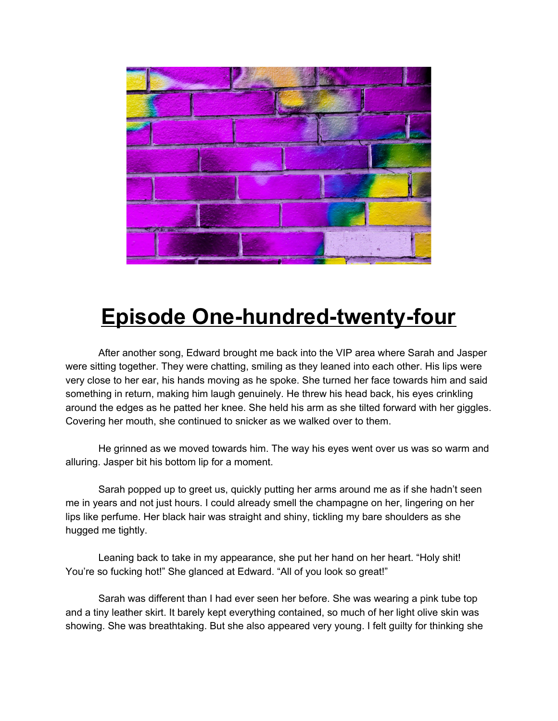

## **Episode One-hundred-twenty-four**

After another song, Edward brought me back into the VIP area where Sarah and Jasper were sitting together. They were chatting, smiling as they leaned into each other. His lips were very close to her ear, his hands moving as he spoke. She turned her face towards him and said something in return, making him laugh genuinely. He threw his head back, his eyes crinkling around the edges as he patted her knee. She held his arm as she tilted forward with her giggles. Covering her mouth, she continued to snicker as we walked over to them.

He grinned as we moved towards him. The way his eyes went over us was so warm and alluring. Jasper bit his bottom lip for a moment.

Sarah popped up to greet us, quickly putting her arms around me as if she hadn't seen me in years and not just hours. I could already smell the champagne on her, lingering on her lips like perfume. Her black hair was straight and shiny, tickling my bare shoulders as she hugged me tightly.

Leaning back to take in my appearance, she put her hand on her heart. "Holy shit! You're so fucking hot!" She glanced at Edward. "All of you look so great!"

Sarah was different than I had ever seen her before. She was wearing a pink tube top and a tiny leather skirt. It barely kept everything contained, so much of her light olive skin was showing. She was breathtaking. But she also appeared very young. I felt guilty for thinking she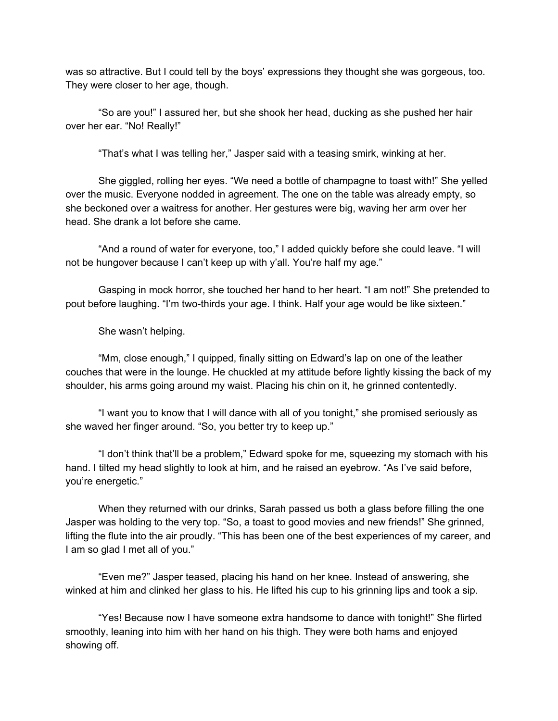was so attractive. But I could tell by the boys' expressions they thought she was gorgeous, too. They were closer to her age, though.

"So are you!" I assured her, but she shook her head, ducking as she pushed her hair over her ear. "No! Really!"

"That's what I was telling her," Jasper said with a teasing smirk, winking at her.

She giggled, rolling her eyes. "We need a bottle of champagne to toast with!" She yelled over the music. Everyone nodded in agreement. The one on the table was already empty, so she beckoned over a waitress for another. Her gestures were big, waving her arm over her head. She drank a lot before she came.

"And a round of water for everyone, too," I added quickly before she could leave. "I will not be hungover because I can't keep up with y'all. You're half my age."

Gasping in mock horror, she touched her hand to her heart. "I am not!" She pretended to pout before laughing. "I'm two-thirds your age. I think. Half your age would be like sixteen."

She wasn't helping.

"Mm, close enough," I quipped, finally sitting on Edward's lap on one of the leather couches that were in the lounge. He chuckled at my attitude before lightly kissing the back of my shoulder, his arms going around my waist. Placing his chin on it, he grinned contentedly.

"I want you to know that I will dance with all of you tonight," she promised seriously as she waved her finger around. "So, you better try to keep up."

"I don't think that'll be a problem," Edward spoke for me, squeezing my stomach with his hand. I tilted my head slightly to look at him, and he raised an eyebrow. "As I've said before, you're energetic."

When they returned with our drinks, Sarah passed us both a glass before filling the one Jasper was holding to the very top. "So, a toast to good movies and new friends!" She grinned, lifting the flute into the air proudly. "This has been one of the best experiences of my career, and I am so glad I met all of you."

"Even me?" Jasper teased, placing his hand on her knee. Instead of answering, she winked at him and clinked her glass to his. He lifted his cup to his grinning lips and took a sip.

"Yes! Because now I have someone extra handsome to dance with tonight!" She flirted smoothly, leaning into him with her hand on his thigh. They were both hams and enjoyed showing off.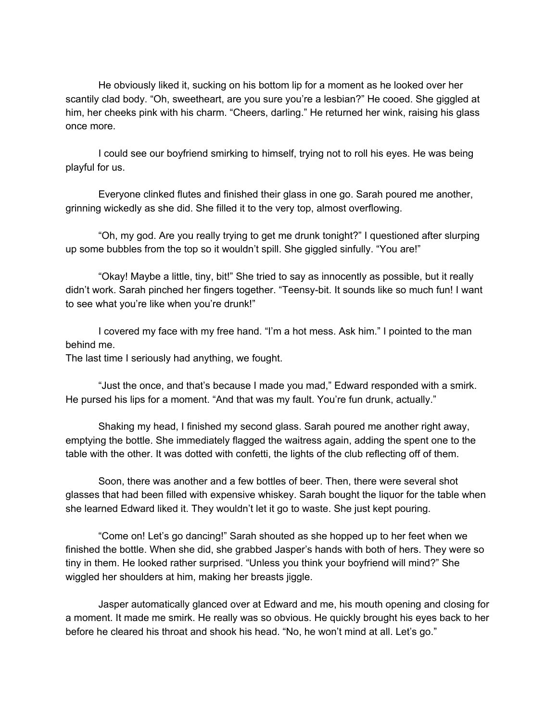He obviously liked it, sucking on his bottom lip for a moment as he looked over her scantily clad body. "Oh, sweetheart, are you sure you're a lesbian?" He cooed. She giggled at him, her cheeks pink with his charm. "Cheers, darling." He returned her wink, raising his glass once more.

I could see our boyfriend smirking to himself, trying not to roll his eyes. He was being playful for us.

Everyone clinked flutes and finished their glass in one go. Sarah poured me another, grinning wickedly as she did. She filled it to the very top, almost overflowing.

"Oh, my god. Are you really trying to get me drunk tonight?" I questioned after slurping up some bubbles from the top so it wouldn't spill. She giggled sinfully. "You are!"

"Okay! Maybe a little, tiny, bit!" She tried to say as innocently as possible, but it really didn't work. Sarah pinched her fingers together. "Teensy-bit. It sounds like so much fun! I want to see what you're like when you're drunk!"

I covered my face with my free hand. "I'm a hot mess. Ask him." I pointed to the man behind me.

The last time I seriously had anything, we fought.

"Just the once, and that's because I made you mad," Edward responded with a smirk. He pursed his lips for a moment. "And that was my fault. You're fun drunk, actually."

Shaking my head, I finished my second glass. Sarah poured me another right away, emptying the bottle. She immediately flagged the waitress again, adding the spent one to the table with the other. It was dotted with confetti, the lights of the club reflecting off of them.

Soon, there was another and a few bottles of beer. Then, there were several shot glasses that had been filled with expensive whiskey. Sarah bought the liquor for the table when she learned Edward liked it. They wouldn't let it go to waste. She just kept pouring.

"Come on! Let's go dancing!" Sarah shouted as she hopped up to her feet when we finished the bottle. When she did, she grabbed Jasper's hands with both of hers. They were so tiny in them. He looked rather surprised. "Unless you think your boyfriend will mind?" She wiggled her shoulders at him, making her breasts jiggle.

Jasper automatically glanced over at Edward and me, his mouth opening and closing for a moment. It made me smirk. He really was so obvious. He quickly brought his eyes back to her before he cleared his throat and shook his head. "No, he won't mind at all. Let's go."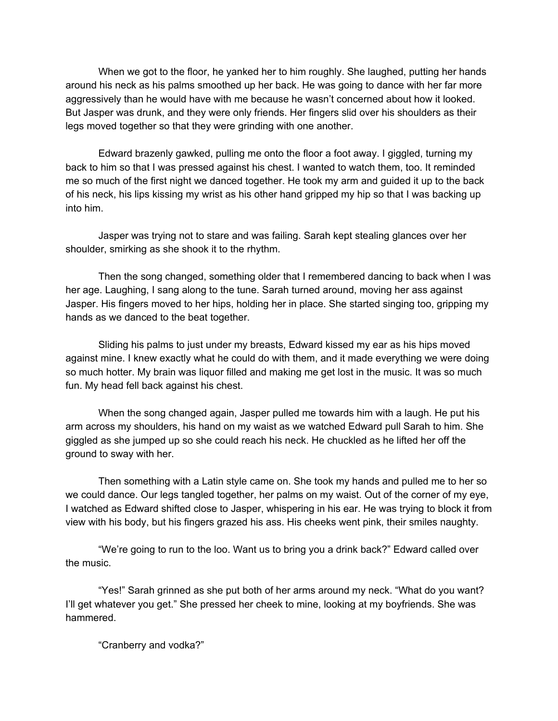When we got to the floor, he yanked her to him roughly. She laughed, putting her hands around his neck as his palms smoothed up her back. He was going to dance with her far more aggressively than he would have with me because he wasn't concerned about how it looked. But Jasper was drunk, and they were only friends. Her fingers slid over his shoulders as their legs moved together so that they were grinding with one another.

Edward brazenly gawked, pulling me onto the floor a foot away. I giggled, turning my back to him so that I was pressed against his chest. I wanted to watch them, too. It reminded me so much of the first night we danced together. He took my arm and guided it up to the back of his neck, his lips kissing my wrist as his other hand gripped my hip so that I was backing up into him.

Jasper was trying not to stare and was failing. Sarah kept stealing glances over her shoulder, smirking as she shook it to the rhythm.

Then the song changed, something older that I remembered dancing to back when I was her age. Laughing, I sang along to the tune. Sarah turned around, moving her ass against Jasper. His fingers moved to her hips, holding her in place. She started singing too, gripping my hands as we danced to the beat together.

Sliding his palms to just under my breasts, Edward kissed my ear as his hips moved against mine. I knew exactly what he could do with them, and it made everything we were doing so much hotter. My brain was liquor filled and making me get lost in the music. It was so much fun. My head fell back against his chest.

When the song changed again, Jasper pulled me towards him with a laugh. He put his arm across my shoulders, his hand on my waist as we watched Edward pull Sarah to him. She giggled as she jumped up so she could reach his neck. He chuckled as he lifted her off the ground to sway with her.

Then something with a Latin style came on. She took my hands and pulled me to her so we could dance. Our legs tangled together, her palms on my waist. Out of the corner of my eye, I watched as Edward shifted close to Jasper, whispering in his ear. He was trying to block it from view with his body, but his fingers grazed his ass. His cheeks went pink, their smiles naughty.

"We're going to run to the loo. Want us to bring you a drink back?" Edward called over the music.

"Yes!" Sarah grinned as she put both of her arms around my neck. "What do you want? I'll get whatever you get." She pressed her cheek to mine, looking at my boyfriends. She was hammered.

"Cranberry and vodka?"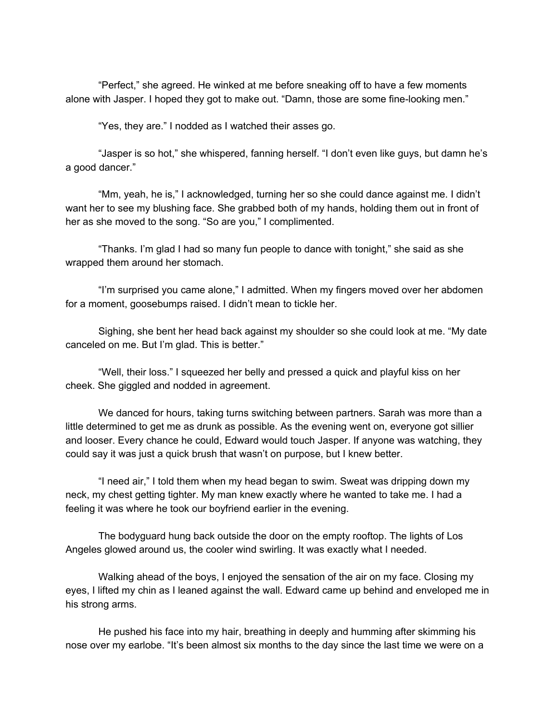"Perfect," she agreed. He winked at me before sneaking off to have a few moments alone with Jasper. I hoped they got to make out. "Damn, those are some fine-looking men."

"Yes, they are." I nodded as I watched their asses go.

"Jasper is so hot," she whispered, fanning herself. "I don't even like guys, but damn he's a good dancer."

"Mm, yeah, he is," I acknowledged, turning her so she could dance against me. I didn't want her to see my blushing face. She grabbed both of my hands, holding them out in front of her as she moved to the song. "So are you," I complimented.

"Thanks. I'm glad I had so many fun people to dance with tonight," she said as she wrapped them around her stomach.

"I'm surprised you came alone," I admitted. When my fingers moved over her abdomen for a moment, goosebumps raised. I didn't mean to tickle her.

Sighing, she bent her head back against my shoulder so she could look at me. "My date canceled on me. But I'm glad. This is better."

"Well, their loss." I squeezed her belly and pressed a quick and playful kiss on her cheek. She giggled and nodded in agreement.

We danced for hours, taking turns switching between partners. Sarah was more than a little determined to get me as drunk as possible. As the evening went on, everyone got sillier and looser. Every chance he could, Edward would touch Jasper. If anyone was watching, they could say it was just a quick brush that wasn't on purpose, but I knew better.

"I need air," I told them when my head began to swim. Sweat was dripping down my neck, my chest getting tighter. My man knew exactly where he wanted to take me. I had a feeling it was where he took our boyfriend earlier in the evening.

The bodyguard hung back outside the door on the empty rooftop. The lights of Los Angeles glowed around us, the cooler wind swirling. It was exactly what I needed.

Walking ahead of the boys, I enjoyed the sensation of the air on my face. Closing my eyes, I lifted my chin as I leaned against the wall. Edward came up behind and enveloped me in his strong arms.

He pushed his face into my hair, breathing in deeply and humming after skimming his nose over my earlobe. "It's been almost six months to the day since the last time we were on a